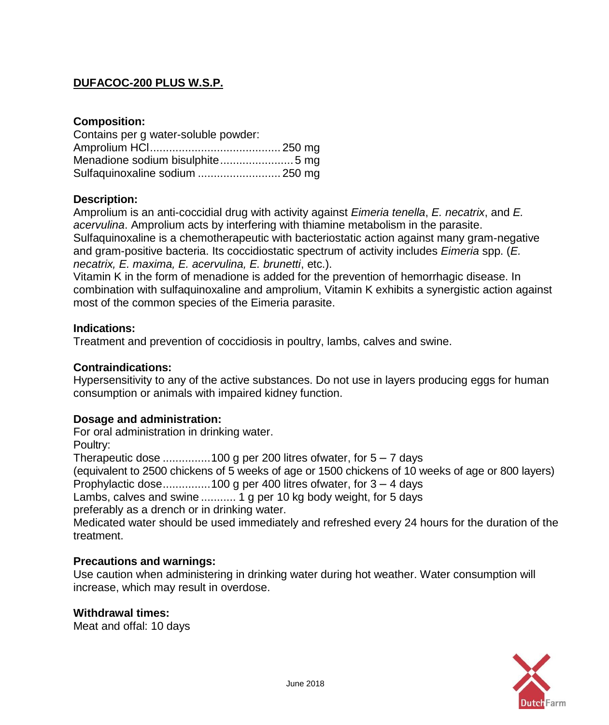# **DUFACOC-200 PLUS W.S.P.**

### **Composition:**

| Contains per g water-soluble powder: |  |
|--------------------------------------|--|
|                                      |  |
|                                      |  |
| Sulfaquinoxaline sodium  250 mg      |  |

### **Description:**

Amprolium is an anti-coccidial drug with activity against *Eimeria tenella*, *E. necatrix*, and *E. acervulina*. Amprolium acts by interfering with thiamine metabolism in the parasite. Sulfaquinoxaline is a chemotherapeutic with bacteriostatic action against many gram-negative and gram-positive bacteria. Its coccidiostatic spectrum of activity includes *Eimeria* spp. (*E. necatrix, E. maxima, E. acervulina, E. brunetti*, etc.).

Vitamin K in the form of menadione is added for the prevention of hemorrhagic disease. In combination with sulfaquinoxaline and amprolium, Vitamin K exhibits a synergistic action against most of the common species of the Eimeria parasite.

### **Indications:**

Treatment and prevention of coccidiosis in poultry, lambs, calves and swine.

### **Contraindications:**

Hypersensitivity to any of the active substances. Do not use in layers producing eggs for human consumption or animals with impaired kidney function.

## **Dosage and administration:**

For oral administration in drinking water.

Poultry:

Therapeutic dose .................100 g per 200 litres of water, for  $5 - 7$  days

(equivalent to 2500 chickens of 5 weeks of age or 1500 chickens of 10 weeks of age or 800 layers) Prophylactic dose...............100 g per 400 litres ofwater, for 3 – 4 days

Lambs, calves and swine ........... 1 g per 10 kg body weight, for 5 days

preferably as a drench or in drinking water.

Medicated water should be used immediately and refreshed every 24 hours for the duration of the treatment.

### **Precautions and warnings:**

Use caution when administering in drinking water during hot weather. Water consumption will increase, which may result in overdose.

### **Withdrawal times:**

Meat and offal: 10 days